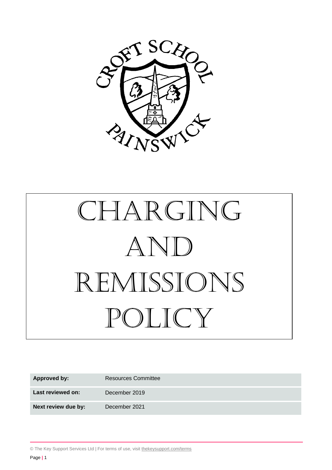

# CHARGING And Remissions policy

| <b>Approved by:</b> | <b>Resources Committee</b> |
|---------------------|----------------------------|
| Last reviewed on:   | December 2019              |
| Next review due by: | December 2021              |

© The Key Support Services Ltd | For terms of use, visit [thekeysupport.com/terms](https://thekeysupport.com/terms-of-use)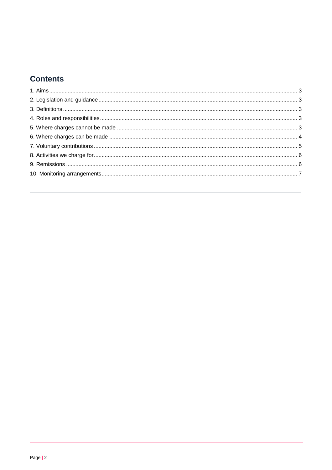# **Contents**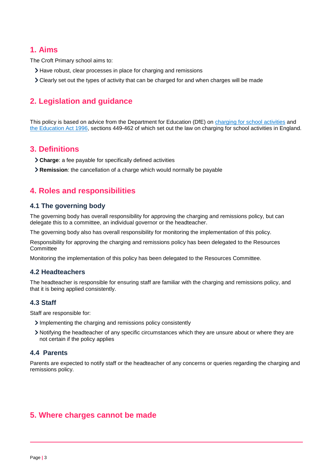# <span id="page-2-0"></span>**1. Aims**

The Croft Primary school aims to:

- Have robust, clear processes in place for charging and remissions
- Clearly set out the types of activity that can be charged for and when charges will be made

# <span id="page-2-1"></span>**2. Legislation and guidance**

This policy is based on advice from the Department for Education (DfE) on [charging for school activities](https://www.gov.uk/government/publications/charging-for-school-activities) and [the Education Act 1996,](http://www.legislation.gov.uk/ukpga/1996/56/part/VI/chapter/III) sections 449-462 of which set out the law on charging for school activities in England.

# <span id="page-2-2"></span>**3. Definitions**

- **Charge**: a fee payable for specifically defined activities
- **Remission**: the cancellation of a charge which would normally be payable

# <span id="page-2-3"></span>**4. Roles and responsibilities**

#### **4.1 The governing body**

The governing body has overall responsibility for approving the charging and remissions policy, but can delegate this to a committee, an individual governor or the headteacher.

The governing body also has overall responsibility for monitoring the implementation of this policy.

Responsibility for approving the charging and remissions policy has been delegated to the Resources **Committee** 

Monitoring the implementation of this policy has been delegated to the Resources Committee.

#### **4.2 Headteachers**

The headteacher is responsible for ensuring staff are familiar with the charging and remissions policy, and that it is being applied consistently.

#### **4.3 Staff**

Staff are responsible for:

- Implementing the charging and remissions policy consistently
- Notifying the headteacher of any specific circumstances which they are unsure about or where they are not certain if the policy applies

#### **4.4 Parents**

Parents are expected to notify staff or the headteacher of any concerns or queries regarding the charging and remissions policy.

# <span id="page-2-4"></span>**5. Where charges cannot be made**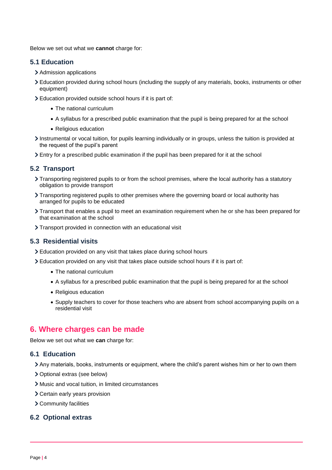Below we set out what we **cannot** charge for:

#### **5.1 Education**

- > Admission applications
- Education provided during school hours (including the supply of any materials, books, instruments or other equipment)
- Education provided outside school hours if it is part of:
	- The national curriculum
	- A syllabus for a prescribed public examination that the pupil is being prepared for at the school
	- Religious education
- Instrumental or vocal tuition, for pupils learning individually or in groups, unless the tuition is provided at the request of the pupil's parent
- Entry for a prescribed public examination if the pupil has been prepared for it at the school

# **5.2 Transport**

- Transporting registered pupils to or from the school premises, where the local authority has a statutory obligation to provide transport
- Transporting registered pupils to other premises where the governing board or local authority has arranged for pupils to be educated
- Transport that enables a pupil to meet an examination requirement when he or she has been prepared for that examination at the school
- Transport provided in connection with an educational visit

## **5.3 Residential visits**

- Education provided on any visit that takes place during school hours
- Education provided on any visit that takes place outside school hours if it is part of:
	- The national curriculum
	- A syllabus for a prescribed public examination that the pupil is being prepared for at the school
	- Religious education
	- Supply teachers to cover for those teachers who are absent from school accompanying pupils on a residential visit

# <span id="page-3-0"></span>**6. Where charges can be made**

Below we set out what we **can** charge for:

#### **6.1 Education**

- Any materials, books, instruments or equipment, where the child's parent wishes him or her to own them
- Optional extras (see below)
- Music and vocal tuition, in limited circumstances
- Certain early years provision
- Community facilities

## **6.2 Optional extras**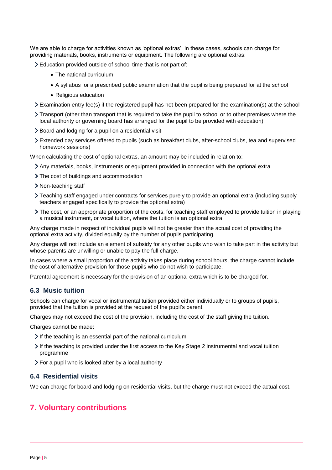We are able to charge for activities known as 'optional extras'. In these cases, schools can charge for providing materials, books, instruments or equipment. The following are optional extras:

- Education provided outside of school time that is not part of:
	- The national curriculum
	- A syllabus for a prescribed public examination that the pupil is being prepared for at the school
	- Religious education
- Examination entry fee(s) if the registered pupil has not been prepared for the examination(s) at the school
- Transport (other than transport that is required to take the pupil to school or to other premises where the local authority or governing board has arranged for the pupil to be provided with education)
- > Board and lodging for a pupil on a residential visit
- Extended day services offered to pupils (such as breakfast clubs, after-school clubs, tea and supervised homework sessions)

When calculating the cost of optional extras, an amount may be included in relation to:

- Any materials, books, instruments or equipment provided in connection with the optional extra
- The cost of buildings and accommodation
- > Non-teaching staff
- Teaching staff engaged under contracts for services purely to provide an optional extra (including supply teachers engaged specifically to provide the optional extra)
- The cost, or an appropriate proportion of the costs, for teaching staff employed to provide tuition in playing a musical instrument, or vocal tuition, where the tuition is an optional extra

Any charge made in respect of individual pupils will not be greater than the actual cost of providing the optional extra activity, divided equally by the number of pupils participating.

Any charge will not include an element of subsidy for any other pupils who wish to take part in the activity but whose parents are unwilling or unable to pay the full charge.

In cases where a small proportion of the activity takes place during school hours, the charge cannot include the cost of alternative provision for those pupils who do not wish to participate.

Parental agreement is necessary for the provision of an optional extra which is to be charged for.

#### **6.3 Music tuition**

Schools can charge for vocal or instrumental tuition provided either individually or to groups of pupils, provided that the tuition is provided at the request of the pupil's parent.

Charges may not exceed the cost of the provision, including the cost of the staff giving the tuition.

Charges cannot be made:

- If the teaching is an essential part of the national curriculum
- If the teaching is provided under the first access to the Key Stage 2 instrumental and vocal tuition programme
- For a pupil who is looked after by a local authority

#### **6.4 Residential visits**

We can charge for board and lodging on residential visits, but the charge must not exceed the actual cost.

# <span id="page-4-0"></span>**7. Voluntary contributions**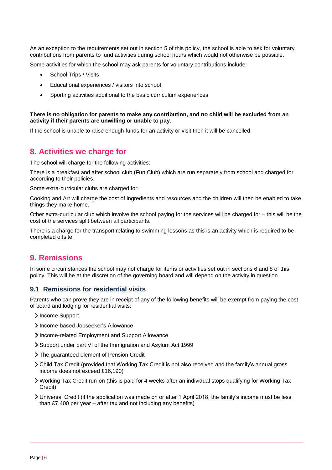As an exception to the requirements set out in section 5 of this policy, the school is able to ask for voluntary contributions from parents to fund activities during school hours which would not otherwise be possible.

Some activities for which the school may ask parents for voluntary contributions include:

- School Trips / Visits
- Educational experiences / visitors into school
- Sporting activities additional to the basic curriculum experiences

#### **There is no obligation for parents to make any contribution, and no child will be excluded from an activity if their parents are unwilling or unable to pay**.

If the school is unable to raise enough funds for an activity or visit then it will be cancelled.

# <span id="page-5-0"></span>**8. Activities we charge for**

The school will charge for the following activities:

There is a breakfast and after school club (Fun Club) which are run separately from school and charged for according to their policies.

Some extra-curricular clubs are charged for:

Cooking and Art will charge the cost of ingredients and resources and the children will then be enabled to take things they make home.

Other extra-curricular club which involve the school paying for the services will be charged for – this will be the cost of the services split between all participants.

There is a charge for the transport relating to swimming lessons as this is an activity which is required to be completed offsite.

# <span id="page-5-1"></span>**9. Remissions**

In some circumstances the school may not charge for items or activities set out in sections 6 and 8 of this policy. This will be at the discretion of the governing board and will depend on the activity in question.

#### **9.1 Remissions for residential visits**

Parents who can prove they are in receipt of any of the following benefits will be exempt from paying the cost of board and lodging for residential visits:

- > Income Support
- > Income-based Jobseeker's Allowance
- Income-related Employment and Support Allowance
- Support under part VI of the Immigration and Asylum Act 1999
- The guaranteed element of Pension Credit
- Child Tax Credit (provided that Working Tax Credit is not also received and the family's annual gross income does not exceed £16,190)
- Working Tax Credit run-on (this is paid for 4 weeks after an individual stops qualifying for Working Tax Credit)
- Universal Credit (if the application was made on or after 1 April 2018, the family's income must be less than £7,400 per year – after tax and not including any benefits)